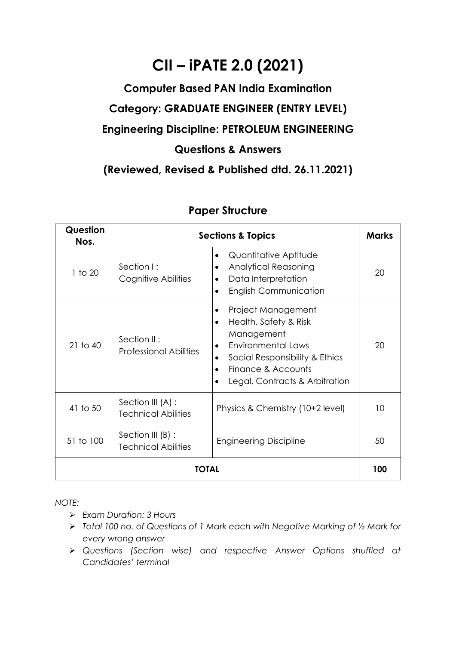## **CII – iPATE 2.0 (2021)**

## **Computer Based PAN India Examination Category: GRADUATE ENGINEER (ENTRY LEVEL) Engineering Discipline: PETROLEUM ENGINEERING Questions & Answers**

**(Reviewed, Revised & Published dtd. 26.11.2021)**

| Question<br>Nos. |                                                 | <b>Sections &amp; Topics</b>                                                                                                                                                                               | <b>Marks</b> |  |
|------------------|-------------------------------------------------|------------------------------------------------------------------------------------------------------------------------------------------------------------------------------------------------------------|--------------|--|
| 1 to 20          | Section I:<br>Cognitive Abilities               | Quantitative Aptitude<br><b>Analytical Reasoning</b><br>Data Interpretation<br><b>English Communication</b>                                                                                                | 20           |  |
| $21$ to $40$     | Section II:<br><b>Professional Abilities</b>    | Project Management<br>Health, Safety & Risk<br>$\bullet$<br>Management<br><b>Environmental Laws</b><br>$\bullet$<br>Social Responsibility & Ethics<br>Finance & Accounts<br>Legal, Contracts & Arbitration | 20           |  |
| 41 to 50         | Section III (A) :<br><b>Technical Abilities</b> | Physics & Chemistry (10+2 level)                                                                                                                                                                           | 10           |  |
| 51 to 100        | Section III (B) :<br><b>Technical Abilities</b> | <b>Engineering Discipline</b>                                                                                                                                                                              | 50           |  |
| TOTAL            |                                                 |                                                                                                                                                                                                            |              |  |

## **Paper Structure**

*NOTE:*

- ➢ *Exam Duration: 3 Hours*
- ➢ *Total 100 no. of Questions of 1 Mark each with Negative Marking of ½ Mark for every wrong answer*
- ➢ *Questions (Section wise) and respective Answer Options shuffled at Candidates' terminal*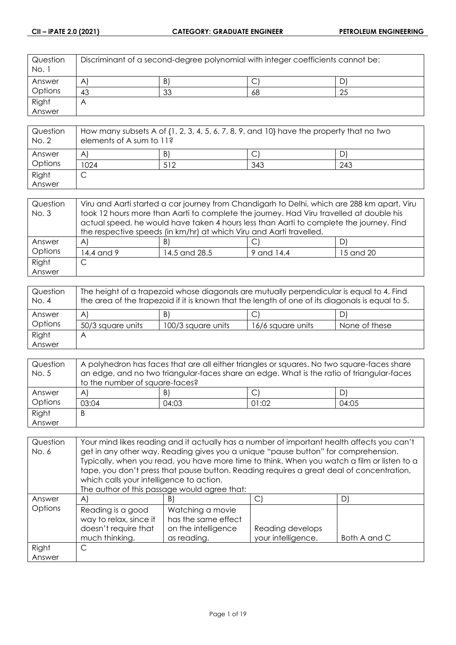| Question<br>No. 1 | Discriminant of a second-degree polynomial with integer coefficients cannot be: |    |    |    |
|-------------------|---------------------------------------------------------------------------------|----|----|----|
| Answer            | $\mathsf{A}$                                                                    | B) | ◡  |    |
| Options           | 43                                                                              | 33 | 68 | 25 |
| Right             | $\forall$                                                                       |    |    |    |
| Answer            |                                                                                 |    |    |    |

| Question<br>No. 2 | How many subsets A of $\{1, 2, 3, 4, 5, 6, 7, 8, 9,$ and $10\}$ have the property that no two<br>elements of A sum to 11? |     |     |     |
|-------------------|---------------------------------------------------------------------------------------------------------------------------|-----|-----|-----|
| Answer            | $\mathsf{A}$                                                                                                              | B)  |     |     |
| Options           | 1024                                                                                                                      | 512 | 343 | 243 |
| Right             | ◡                                                                                                                         |     |     |     |
| Answer            |                                                                                                                           |     |     |     |

| Question    | Viru and Aarti started a car journey from Chandigarh to Delhi, which are 288 km apart. Viru |               |            |           |
|-------------|---------------------------------------------------------------------------------------------|---------------|------------|-----------|
| <b>No.3</b> | took 12 hours more than Aarti to complete the journey. Had Viru travelled at double his     |               |            |           |
|             | actual speed, he would have taken 4 hours less than Aarti to complete the journey. Find     |               |            |           |
|             | the respective speeds (in km/hr) at which Viru and Aarti travelled.                         |               |            |           |
| Answer      | AI                                                                                          | B)            |            | DI        |
| Options     | 14.4 and 9                                                                                  | 14.5 and 28.5 | 9 and 14.4 | 15 and 20 |
| Right       | С                                                                                           |               |            |           |
| Answer      |                                                                                             |               |            |           |

| Question<br>No. 4 | The height of a trapezoid whose diagonals are mutually perpendicular is equal to 4. Find<br>the area of the trapezoid if it is known that the length of one of its diagonals is equal to 5. |                    |                   |               |
|-------------------|---------------------------------------------------------------------------------------------------------------------------------------------------------------------------------------------|--------------------|-------------------|---------------|
| Answer            | $\mathsf{A}$                                                                                                                                                                                | B)                 |                   | D)            |
| Options           | 50/3 square units                                                                                                                                                                           | 100/3 square units | 16/6 square units | None of these |
| Right             | Α                                                                                                                                                                                           |                    |                   |               |
| Answer            |                                                                                                                                                                                             |                    |                   |               |

| Question | A polyhedron has faces that are all either triangles or squares. No two square-faces share |       |       |       |
|----------|--------------------------------------------------------------------------------------------|-------|-------|-------|
| No. 5    | an edge, and no two triangular-faces share an edge. What is the ratio of triangular-faces  |       |       |       |
|          | to the number of square-faces?                                                             |       |       |       |
| Answer   | $\mathsf{A}$                                                                               | B)    |       | D)    |
| Options  | 03:04                                                                                      | 04:03 | 01:02 | 04:05 |
| Right    | B                                                                                          |       |       |       |
| Answer   |                                                                                            |       |       |       |

| Question<br>No. 6 | Your mind likes reading and it actually has a number of important health affects you can't<br>get in any other way. Reading gives you a unique "pause button" for comprehension.<br>Typically, when you read, you have more time to think. When you watch a film or listen to a<br>tape, you don't press that pause button. Reading requires a great deal of concentration,<br>which calls your intelligence to action.<br>The author of this passage would agree that: |                                                                               |                                        |              |
|-------------------|-------------------------------------------------------------------------------------------------------------------------------------------------------------------------------------------------------------------------------------------------------------------------------------------------------------------------------------------------------------------------------------------------------------------------------------------------------------------------|-------------------------------------------------------------------------------|----------------------------------------|--------------|
| Answer            | $\mathsf{A}$                                                                                                                                                                                                                                                                                                                                                                                                                                                            | B)                                                                            | C)                                     | D)           |
| Options           | Reading is a good<br>way to relax, since it<br>doesn't require that<br>much thinking.                                                                                                                                                                                                                                                                                                                                                                                   | Watching a movie<br>has the same effect<br>on the intelligence<br>as reading. | Reading develops<br>your intelligence. | Both A and C |
| Right<br>Answer   | C                                                                                                                                                                                                                                                                                                                                                                                                                                                                       |                                                                               |                                        |              |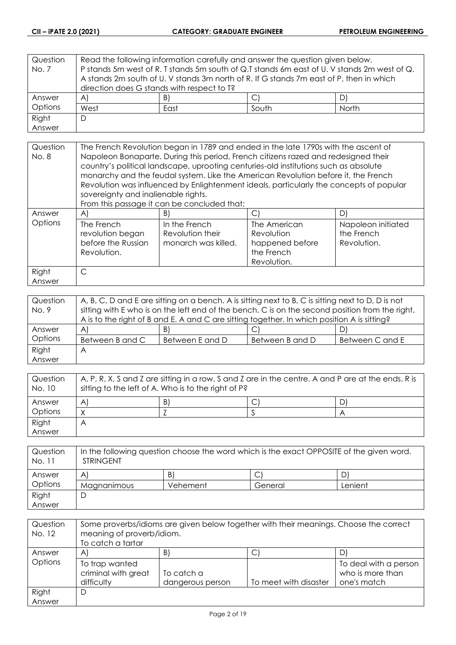| Question<br>No. 7 | Read the following information carefully and answer the question given below.<br>P stands 5m west of R. T stands 5m south of Q.T stands 6m east of U. V stands 2m west of Q.<br>A stands 2m south of U. V stands 3m north of R. If G stands 7m east of P, then in which |      |       |       |
|-------------------|-------------------------------------------------------------------------------------------------------------------------------------------------------------------------------------------------------------------------------------------------------------------------|------|-------|-------|
|                   | direction does G stands with respect to T?                                                                                                                                                                                                                              |      |       |       |
| Answer            | $\mathsf{A}$                                                                                                                                                                                                                                                            | B)   |       |       |
| Options           | West                                                                                                                                                                                                                                                                    | East | South | North |
| Right             | D                                                                                                                                                                                                                                                                       |      |       |       |
| Answer            |                                                                                                                                                                                                                                                                         |      |       |       |

| Question<br>No. 8 | The French Revolution began in 1789 and ended in the late 1790s with the ascent of<br>Napoleon Bonaparte. During this period, French citizens razed and redesigned their<br>country's political landscape, uprooting centuries-old institutions such as absolute<br>monarchy and the feudal system. Like the American Revolution before it, the French<br>Revolution was influenced by Enlightenment ideals, particularly the concepts of popular<br>sovereignty and inalienable rights.<br>From this passage it can be concluded that: |                                                          |                                                                            |                                                 |
|-------------------|-----------------------------------------------------------------------------------------------------------------------------------------------------------------------------------------------------------------------------------------------------------------------------------------------------------------------------------------------------------------------------------------------------------------------------------------------------------------------------------------------------------------------------------------|----------------------------------------------------------|----------------------------------------------------------------------------|-------------------------------------------------|
| Answer            | A)                                                                                                                                                                                                                                                                                                                                                                                                                                                                                                                                      | B)                                                       | С                                                                          | D                                               |
| Options           | The French<br>revolution began<br>before the Russian<br>Revolution.                                                                                                                                                                                                                                                                                                                                                                                                                                                                     | In the French<br>Revolution their<br>monarch was killed. | The American<br>Revolution<br>happened before<br>the French<br>Revolution. | Napoleon initiated<br>the French<br>Revolution. |
| Right<br>Answer   | C                                                                                                                                                                                                                                                                                                                                                                                                                                                                                                                                       |                                                          |                                                                            |                                                 |

| Question<br>No. 9 | A, B, C, D and E are sitting on a bench. A is sitting next to B, C is sitting next to D, D is not<br>sitting with E who is on the left end of the bench. C is on the second position from the right. |                 |                 |                 |
|-------------------|------------------------------------------------------------------------------------------------------------------------------------------------------------------------------------------------------|-----------------|-----------------|-----------------|
|                   | A is to the right of B and E. A and C are sitting together. In which position A is sitting?                                                                                                          |                 |                 |                 |
| Answer            | $\mathsf{A}$                                                                                                                                                                                         | B)              |                 |                 |
| Options           | Between B and C                                                                                                                                                                                      | Between E and D | Between B and D | Between C and E |
| Right             | Α                                                                                                                                                                                                    |                 |                 |                 |
| Answer            |                                                                                                                                                                                                      |                 |                 |                 |

| Question<br>No. 10 | A, P, R, X, S and Z are sitting in a row. S and Z are in the centre. A and P are at the ends. R is<br>sitting to the left of A. Who is to the right of P? |    |  |  |
|--------------------|-----------------------------------------------------------------------------------------------------------------------------------------------------------|----|--|--|
| Answer             | A                                                                                                                                                         | B) |  |  |
| Options            |                                                                                                                                                           |    |  |  |
| Right              |                                                                                                                                                           |    |  |  |
| Answer             |                                                                                                                                                           |    |  |  |

| Question<br>No. 11 | In the following question choose the word which is the exact OPPOSITE of the given word.<br><b>STRINGENT</b> |          |         |         |
|--------------------|--------------------------------------------------------------------------------------------------------------|----------|---------|---------|
| Answer             | A                                                                                                            | B        |         |         |
| Options            | Magnanimous                                                                                                  | Vehement | General | Lenient |
| Right              |                                                                                                              |          |         |         |
| Answer             |                                                                                                              |          |         |         |

| Question<br>No. 12 | Some proverbs/idioms are given below together with their meanings. Choose the correct<br>meaning of proverb/idiom.<br>To catch a tartar |                                |                       |                                                          |
|--------------------|-----------------------------------------------------------------------------------------------------------------------------------------|--------------------------------|-----------------------|----------------------------------------------------------|
| Answer             | A                                                                                                                                       | B)                             | ◡                     |                                                          |
| Options            | To trap wanted<br>criminal with great<br>difficulty                                                                                     | To catch a<br>dangerous person | To meet with disaster | To deal with a person<br>who is more than<br>one's match |
| Right<br>Answer    | D                                                                                                                                       |                                |                       |                                                          |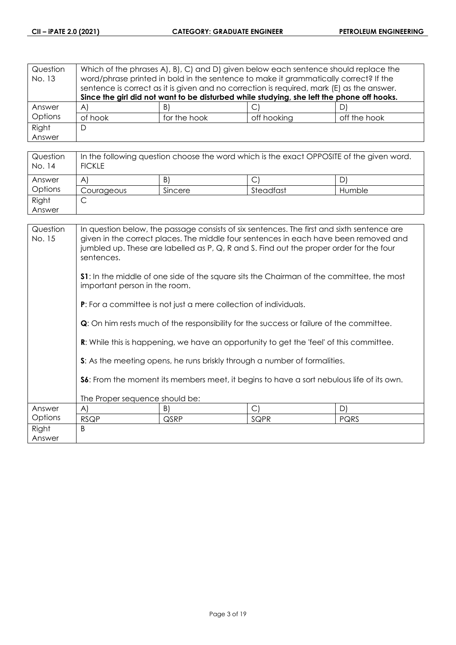| Question<br>No. 13 | Which of the phrases A, B, C, and D, given below each sentence should replace the<br>word/phrase printed in bold in the sentence to make it grammatically correct? If the<br>sentence is correct as it is given and no correction is required, mark (E) as the answer. |              |                                                                                           |              |  |
|--------------------|------------------------------------------------------------------------------------------------------------------------------------------------------------------------------------------------------------------------------------------------------------------------|--------------|-------------------------------------------------------------------------------------------|--------------|--|
|                    |                                                                                                                                                                                                                                                                        |              | Since the girl did not want to be disturbed while studying, she left the phone off hooks. |              |  |
| Answer             | $\mathsf{A}$                                                                                                                                                                                                                                                           | B)           |                                                                                           |              |  |
| Options            | of hook                                                                                                                                                                                                                                                                | for the hook | off hooking                                                                               | off the hook |  |
| Right              | D                                                                                                                                                                                                                                                                      |              |                                                                                           |              |  |
| Answer             |                                                                                                                                                                                                                                                                        |              |                                                                                           |              |  |

| Question<br>No. 14 | In the following question choose the word which is the exact OPPOSITE of the given word.<br><b>FICKLE</b> |         |           |        |
|--------------------|-----------------------------------------------------------------------------------------------------------|---------|-----------|--------|
| Answer             | A                                                                                                         | B)      |           | D      |
| Options            | Courageous                                                                                                | Sincere | Steadfast | Humble |
| Right              |                                                                                                           |         |           |        |
| Answer             |                                                                                                           |         |           |        |

| Question<br>No. 15 | In question below, the passage consists of six sentences. The first and sixth sentence are<br>given in the correct places. The middle four sentences in each have been removed and<br>jumbled up. These are labelled as P, Q, R and S. Find out the proper order for the four<br>sentences. |                                                                         |                                                                                                |      |
|--------------------|---------------------------------------------------------------------------------------------------------------------------------------------------------------------------------------------------------------------------------------------------------------------------------------------|-------------------------------------------------------------------------|------------------------------------------------------------------------------------------------|------|
|                    | <b>S1</b> : In the middle of one side of the square sits the Chairman of the committee, the most<br>important person in the room.                                                                                                                                                           |                                                                         |                                                                                                |      |
|                    |                                                                                                                                                                                                                                                                                             | <b>P:</b> For a committee is not just a mere collection of individuals. |                                                                                                |      |
|                    | <b>Q</b> : On him rests much of the responsibility for the success or failure of the committee.                                                                                                                                                                                             |                                                                         |                                                                                                |      |
|                    |                                                                                                                                                                                                                                                                                             |                                                                         | <b>R:</b> While this is happening, we have an opportunity to get the 'feel' of this committee. |      |
|                    |                                                                                                                                                                                                                                                                                             |                                                                         | S: As the meeting opens, he runs briskly through a number of formalities.                      |      |
|                    | S6: From the moment its members meet, it begins to have a sort nebulous life of its own.                                                                                                                                                                                                    |                                                                         |                                                                                                |      |
|                    | The Proper sequence should be:                                                                                                                                                                                                                                                              |                                                                         |                                                                                                |      |
| Answer             | A)                                                                                                                                                                                                                                                                                          | B)                                                                      | $\mathsf{C}$                                                                                   | D)   |
| Options            | <b>RSQP</b>                                                                                                                                                                                                                                                                                 | QSRP                                                                    | SQPR                                                                                           | PQRS |
| Right<br>Answer    | B                                                                                                                                                                                                                                                                                           |                                                                         |                                                                                                |      |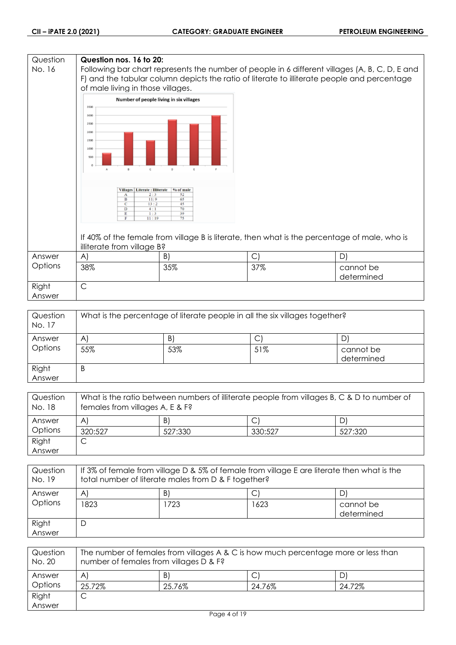## **Question Question nos. 16 to 20:** No. 16 Following bar chart represents the number of people in 6 different villages (A, B, C, D, E and F) and the tabular column depicts the ratio of literate to illiterate people and percentage of male living in those villages. Number of people living in six villages 3500 3000 2500 2000 1500 1000 500 Villages | Literate : Illiterate | % of male F  $\frac{11}{12}$ If 40% of the female from village B is literate, then what is the percentage of male, who is illiterate from village B? Answer A)  $|B|$   $|C|$   $|D|$ **Options** 38% 35% 37% cannot be determined Right C Answer

| Question<br>No. 17 | What is the percentage of literate people in all the six villages together? |     |              |                         |
|--------------------|-----------------------------------------------------------------------------|-----|--------------|-------------------------|
| Answer             | AI                                                                          | B)  | $\mathsf{C}$ | D                       |
| Options            | 55%                                                                         | 53% | 51%          | cannot be<br>determined |
| Right<br>Answer    | B                                                                           |     |              |                         |

| Question<br>No. 18 | What is the ratio between numbers of illiterate people from villages B, C & D to number of<br>females from villages A, E & F? |         |         |         |
|--------------------|-------------------------------------------------------------------------------------------------------------------------------|---------|---------|---------|
| Answer             | A                                                                                                                             | B)      |         |         |
| Options            | 320:527                                                                                                                       | 527:330 | 330:527 | 527:320 |
| Right              | ◡                                                                                                                             |         |         |         |
| Answer             |                                                                                                                               |         |         |         |

| Question<br>No. 19 | If 3% of female from village D & 5% of female from village E are literate then what is the<br>total number of literate males from D & F together? |      |      |                         |
|--------------------|---------------------------------------------------------------------------------------------------------------------------------------------------|------|------|-------------------------|
| Answer             | $\mathsf{A}$                                                                                                                                      | B)   |      | D'                      |
| Options            | 823                                                                                                                                               | 1723 | 1623 | cannot be<br>determined |
| Right<br>Answer    | D                                                                                                                                                 |      |      |                         |

| Question<br>No. 20 | The number of females from villages A & C is how much percentage more or less than<br>number of females from villages D & F? |        |        |        |
|--------------------|------------------------------------------------------------------------------------------------------------------------------|--------|--------|--------|
| Answer             | $\mathsf{A}$                                                                                                                 | B)     | C      | ⊃      |
| Options            | 25.72%                                                                                                                       | 25.76% | 24.76% | 24.72% |
| Right              | ◡                                                                                                                            |        |        |        |
| Answer             |                                                                                                                              |        |        |        |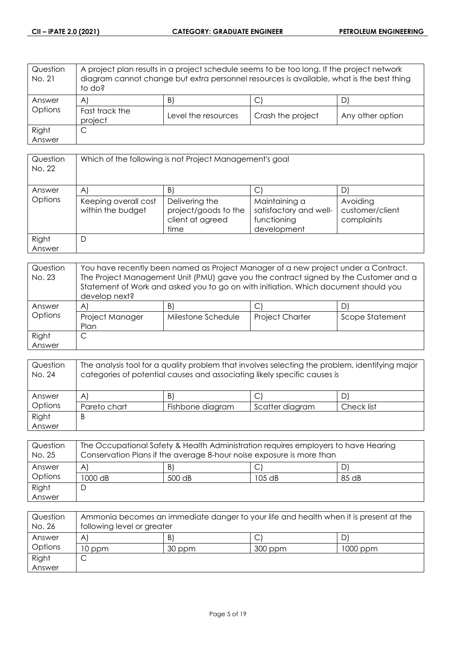| Question<br>No. 21 | A project plan results in a project schedule seems to be too long. If the project network<br>diagram cannot change but extra personnel resources is available, what is the best thing<br>to do? |                     |                   |                  |
|--------------------|-------------------------------------------------------------------------------------------------------------------------------------------------------------------------------------------------|---------------------|-------------------|------------------|
| Answer             | A                                                                                                                                                                                               | B.                  | С                 |                  |
| Options            | Fast track the<br>project                                                                                                                                                                       | Level the resources | Crash the project | Any other option |
| Right              | С                                                                                                                                                                                               |                     |                   |                  |
| Answer             |                                                                                                                                                                                                 |                     |                   |                  |

| Question<br>No. 22 | Which of the following is not Project Management's goal |                                                                    |                                                                       |                                           |
|--------------------|---------------------------------------------------------|--------------------------------------------------------------------|-----------------------------------------------------------------------|-------------------------------------------|
| Answer             | A                                                       | B                                                                  | С                                                                     |                                           |
| Options            | Keeping overall cost<br>within the budget               | Delivering the<br>project/goods to the<br>client at agreed<br>time | Maintaining a<br>satisfactory and well-<br>functioning<br>development | Avoiding<br>customer/client<br>complaints |
| Right<br>Answer    | D                                                       |                                                                    |                                                                       |                                           |

| Question<br>No. 23 | You have recently been named as Project Manager of a new project under a Contract.<br>The Project Management Unit (PMU) gave you the contract signed by the Customer and a<br>Statement of Work and asked you to go on with initiation. Which document should you<br>develop next? |                    |                        |                 |
|--------------------|------------------------------------------------------------------------------------------------------------------------------------------------------------------------------------------------------------------------------------------------------------------------------------|--------------------|------------------------|-----------------|
| Answer             | A                                                                                                                                                                                                                                                                                  | B)                 | C                      | D               |
| Options            | Project Manager<br>Plan                                                                                                                                                                                                                                                            | Milestone Schedule | <b>Project Charter</b> | Scope Statement |
| Right              |                                                                                                                                                                                                                                                                                    |                    |                        |                 |
| Answer             |                                                                                                                                                                                                                                                                                    |                    |                        |                 |

| Question<br>No. 24 | The analysis tool for a quality problem that involves selecting the problem, identifying major<br>categories of potential causes and associating likely specific causes is |                  |                 |            |
|--------------------|----------------------------------------------------------------------------------------------------------------------------------------------------------------------------|------------------|-----------------|------------|
| Answer             | $\mathsf{A}$                                                                                                                                                               | B)               |                 |            |
| Options            | Pareto chart                                                                                                                                                               | Fishbone diagram | Scatter diagram | Check list |
| Right              | B                                                                                                                                                                          |                  |                 |            |
| Answer             |                                                                                                                                                                            |                  |                 |            |

| Question<br>No. 25 | The Occupational Safety & Health Administration requires employers to have Hearing<br>Conservation Plans if the average 8-hour noise exposure is more than |        |        |       |
|--------------------|------------------------------------------------------------------------------------------------------------------------------------------------------------|--------|--------|-------|
| Answer             | A'                                                                                                                                                         | B)     |        |       |
| Options            | 1000 dB                                                                                                                                                    | 500 dB | 105 dB | 85 dB |
| Right              |                                                                                                                                                            |        |        |       |
| Answer             |                                                                                                                                                            |        |        |       |

| Question<br>No. 26 | Ammonia becomes an immediate danger to your life and health when it is present at the<br>following level or greater |        |         |          |
|--------------------|---------------------------------------------------------------------------------------------------------------------|--------|---------|----------|
| Answer             | $\mathsf{A}^{\cdot}$                                                                                                | B      |         |          |
| Options            | 10 ppm                                                                                                              | 30 ppm | 300 ppm | 1000 ppm |
| Right              |                                                                                                                     |        |         |          |
| Answer             |                                                                                                                     |        |         |          |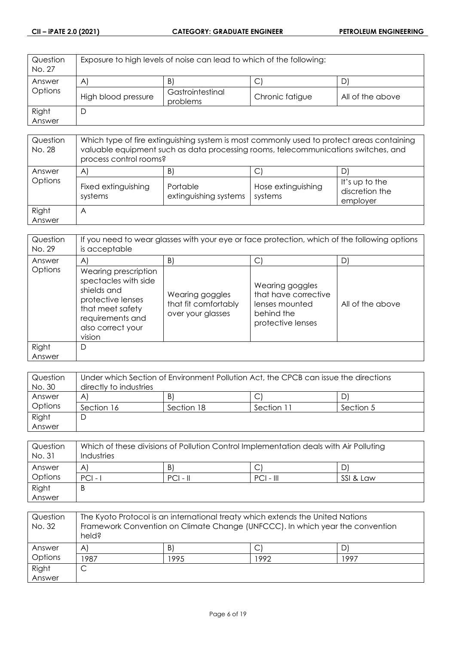| Question<br>No. 27 | Exposure to high levels of noise can lead to which of the following: |                              |                 |                  |
|--------------------|----------------------------------------------------------------------|------------------------------|-----------------|------------------|
| Answer             | $\mathsf{A}$                                                         | B)                           |                 | D                |
| Options            | High blood pressure                                                  | Gastrointestinal<br>problems | Chronic fatigue | All of the above |
| Right              |                                                                      |                              |                 |                  |
| Answer             |                                                                      |                              |                 |                  |

| Question<br>No. 28 | Which type of fire extinguishing system is most commonly used to protect areas containing<br>valuable equipment such as data processing rooms, telecommunications switches, and<br>process control rooms? |                                         |                               |                                              |
|--------------------|-----------------------------------------------------------------------------------------------------------------------------------------------------------------------------------------------------------|-----------------------------------------|-------------------------------|----------------------------------------------|
| Answer<br>Options  | A<br>Fixed extinguishing<br>systems                                                                                                                                                                       | B)<br>Portable<br>extinguishing systems | Hose extinguishing<br>systems | It's up to the<br>discretion the<br>employer |
| Right<br>Answer    | A                                                                                                                                                                                                         |                                         |                               |                                              |

| Question<br>No. 29 | If you need to wear glasses with your eye or face protection, which of the following options<br>is acceptable                                           |                                                              |                                                                                              |                  |
|--------------------|---------------------------------------------------------------------------------------------------------------------------------------------------------|--------------------------------------------------------------|----------------------------------------------------------------------------------------------|------------------|
| Answer             | $\mathsf{A}$                                                                                                                                            | B)                                                           | С                                                                                            | $\mathsf{D}$     |
| Options            | Wearing prescription<br>spectacles with side<br>shields and<br>protective lenses<br>that meet safety<br>requirements and<br>also correct your<br>vision | Wearing goggles<br>that fit comfortably<br>over your glasses | Wearing goggles<br>that have corrective<br>lenses mounted<br>behind the<br>protective lenses | All of the above |
| Right<br>Answer    | D                                                                                                                                                       |                                                              |                                                                                              |                  |

| Question | Under which Section of Environment Pollution Act, the CPCB can issue the directions |            |            |           |
|----------|-------------------------------------------------------------------------------------|------------|------------|-----------|
| No. 30   | directly to industries                                                              |            |            |           |
| Answer   | $\mathsf{A}^{\scriptscriptstyle{\parallel}}$                                        | B)         |            | DI        |
| Options  | Section 16                                                                          | Section 18 | Section 11 | Section 5 |
| Right    | C                                                                                   |            |            |           |
| Answer   |                                                                                     |            |            |           |

| Question<br>No. 31 | Which of these divisions of Pollution Control Implementation deals with Air Polluting<br>Industries |            |             |           |
|--------------------|-----------------------------------------------------------------------------------------------------|------------|-------------|-----------|
| Answer             | A                                                                                                   | B)         | C           |           |
| Options            | $PCI -$                                                                                             | $PCI - II$ | $PCI - III$ | SSI & Law |
| Right              | B                                                                                                   |            |             |           |
| Answer             |                                                                                                     |            |             |           |

| Question<br>No. 32 | The Kyoto Protocol is an international treaty which extends the United Nations<br>Framework Convention on Climate Change (UNFCCC). In which year the convention<br>held? |      |      |      |
|--------------------|--------------------------------------------------------------------------------------------------------------------------------------------------------------------------|------|------|------|
| Answer             | $\mathsf{A}$                                                                                                                                                             | B)   | С    |      |
| Options            | 1987                                                                                                                                                                     | 1995 | 1992 | 1997 |
| Right              | ◡                                                                                                                                                                        |      |      |      |
| Answer             |                                                                                                                                                                          |      |      |      |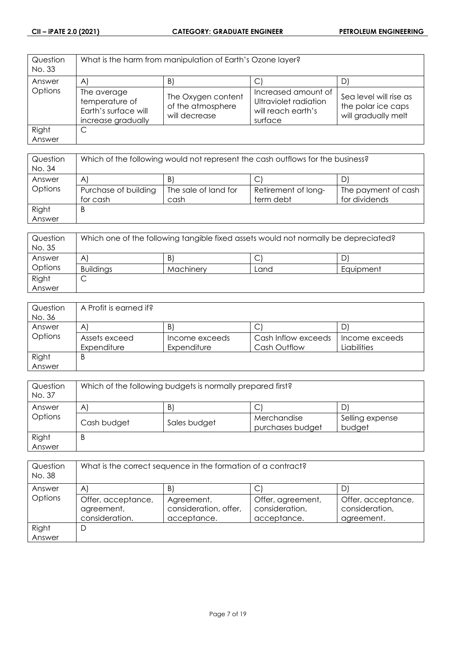| Question<br>No. 33 | What is the harm from manipulation of Earth's Ozone layer?                  |                                                          |                                                                               |                                                                     |
|--------------------|-----------------------------------------------------------------------------|----------------------------------------------------------|-------------------------------------------------------------------------------|---------------------------------------------------------------------|
| Answer             | $\mathsf{A}$                                                                | $\vert B \rangle$                                        |                                                                               | D.                                                                  |
| Options            | The average<br>temperature of<br>Earth's surface will<br>increase gradually | The Oxygen content<br>of the atmosphere<br>will decrease | Increased amount of<br>Ultraviolet radiation<br>will reach earth's<br>surface | Sea level will rise as<br>the polar ice caps<br>will gradually melt |
| Right              | C                                                                           |                                                          |                                                                               |                                                                     |
| Answer             |                                                                             |                                                          |                                                                               |                                                                     |

| Question<br>No. 34 | Which of the following would not represent the cash outflows for the business? |                      |                     |                     |
|--------------------|--------------------------------------------------------------------------------|----------------------|---------------------|---------------------|
| Answer             | $\mathsf{A}$                                                                   | B                    | ◡                   |                     |
| Options            | Purchase of building                                                           | The sale of land for | Retirement of long- | The payment of cash |
|                    | for cash                                                                       | cash                 | term debt           | for dividends       |
| Right              | B                                                                              |                      |                     |                     |
| Answer             |                                                                                |                      |                     |                     |

| Question<br>No. 35 | Which one of the following tangible fixed assets would not normally be depreciated? |           |      |           |
|--------------------|-------------------------------------------------------------------------------------|-----------|------|-----------|
| Answer             | A                                                                                   | B         |      |           |
| Options            | <b>Buildings</b>                                                                    | Machinery | Land | Equipment |
| Right              | ◡                                                                                   |           |      |           |
| Answer             |                                                                                     |           |      |           |

| Question<br>No. 36 | A Profit is earned if? |                |                     |                |
|--------------------|------------------------|----------------|---------------------|----------------|
| Answer             | A                      | $\mathsf{B}$   | ◡                   |                |
| Options            | Assets exceed          | Income exceeds | Cash Inflow exceeds | Income exceeds |
|                    | Expenditure            | Expenditure    | Cash Outflow        | Liabilities    |
| Right              | B                      |                |                     |                |
| Answer             |                        |                |                     |                |

| Question<br>No. 37 | Which of the following budgets is normally prepared first? |              |                                 |                           |
|--------------------|------------------------------------------------------------|--------------|---------------------------------|---------------------------|
| Answer             | $\mathsf{A}$                                               | B)           |                                 | D                         |
| Options            | Cash budget                                                | Sales budget | Merchandise<br>purchases budget | Selling expense<br>budget |
| Right<br>Answer    | B                                                          |              |                                 |                           |

| Question<br>No. 38 | What is the correct sequence in the formation of a contract? |                                                    |                                                    |                                                    |
|--------------------|--------------------------------------------------------------|----------------------------------------------------|----------------------------------------------------|----------------------------------------------------|
| Answer             | A'                                                           | B                                                  |                                                    | D                                                  |
| Options            | Offer, acceptance,<br>agreement,<br>consideration.           | Agreement,<br>consideration, offer,<br>acceptance. | Offer, agreement,<br>consideration,<br>acceptance. | Offer, acceptance,<br>consideration,<br>agreement. |
| Right              | D                                                            |                                                    |                                                    |                                                    |
| Answer             |                                                              |                                                    |                                                    |                                                    |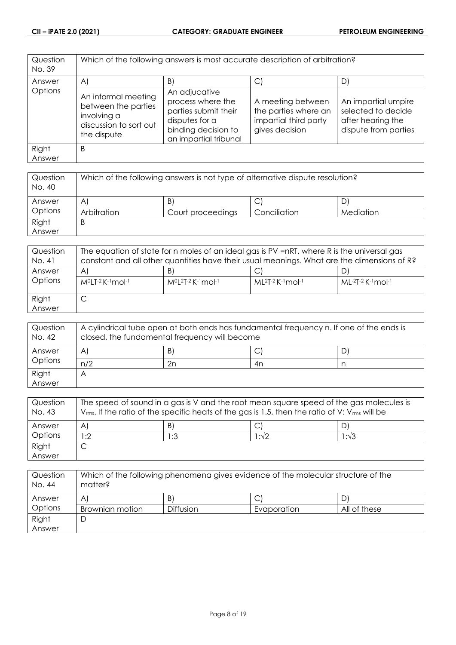| Question<br>No. 39 | Which of the following answers is most accurate description of arbitration?                        |                                                                                                                              |                                                                                      |                                                                                        |
|--------------------|----------------------------------------------------------------------------------------------------|------------------------------------------------------------------------------------------------------------------------------|--------------------------------------------------------------------------------------|----------------------------------------------------------------------------------------|
| Answer             | A)                                                                                                 | B)                                                                                                                           | С                                                                                    | D)                                                                                     |
| Options            | An informal meeting<br>between the parties<br>involving a<br>discussion to sort out<br>the dispute | An adjucative<br>process where the<br>parties submit their<br>disputes for a<br>binding decision to<br>an impartial tribunal | A meeting between<br>the parties where an<br>impartial third party<br>gives decision | An impartial umpire<br>selected to decide<br>after hearing the<br>dispute from parties |
| Right              | B                                                                                                  |                                                                                                                              |                                                                                      |                                                                                        |
| Answer             |                                                                                                    |                                                                                                                              |                                                                                      |                                                                                        |

| Question<br>No. 40 | Which of the following answers is not type of alternative dispute resolution? |                   |              |           |
|--------------------|-------------------------------------------------------------------------------|-------------------|--------------|-----------|
| Answer             | A                                                                             | B)                | ◡            |           |
| Options            | Arbitration                                                                   | Court proceedings | Conciliation | Mediation |
| Right              | B                                                                             |                   |              |           |
| Answer             |                                                                               |                   |              |           |

| Question<br>No. 41 | The equation of state for n moles of an ideal gas is PV =nRT, where R is the universal gas<br>constant and all other quantities have their usual meanings. What are the dimensions of R? |                                  |                             |                     |
|--------------------|------------------------------------------------------------------------------------------------------------------------------------------------------------------------------------------|----------------------------------|-----------------------------|---------------------|
| Answer<br>Options  | A<br>$M0LT-2 K-1$ mol-1                                                                                                                                                                  | B<br>$M^{0}[2T-2K^{-1}mol^{-1}]$ | $ML^{2}T-2$ K $-1$ mol $-1$ | $ML-2T-2$ K-1 mol-1 |
| Right<br>Answer    | ٮ                                                                                                                                                                                        |                                  |                             |                     |

| Question<br>No. 42 | A cylindrical tube open at both ends has fundamental frequency n. If one of the ends is<br>closed, the fundamental frequency will become |    |    |    |
|--------------------|------------------------------------------------------------------------------------------------------------------------------------------|----|----|----|
| Answer             | A                                                                                                                                        | B) | ◡  | D' |
| Options            | n/2                                                                                                                                      | 2n | 4n |    |
| Right              |                                                                                                                                          |    |    |    |
| Answer             |                                                                                                                                          |    |    |    |

| Question<br>No. 43 | The speed of sound in a gas is V and the root mean square speed of the gas molecules is<br>$V_{rms}$ . If the ratio of the specific heats of the gas is 1.5, then the ratio of V: $V_{rms}$ will be |     |     |      |
|--------------------|-----------------------------------------------------------------------------------------------------------------------------------------------------------------------------------------------------|-----|-----|------|
| Answer             | A                                                                                                                                                                                                   | B)  |     |      |
| Options            | :2                                                                                                                                                                                                  | 1:3 | :√2 | l:√3 |
| Right              |                                                                                                                                                                                                     |     |     |      |
| Answer             |                                                                                                                                                                                                     |     |     |      |

| Question<br>No. 44 | Which of the following phenomena gives evidence of the molecular structure of the<br>matter? |                  |             |              |
|--------------------|----------------------------------------------------------------------------------------------|------------------|-------------|--------------|
| Answer             | A                                                                                            | $\vert B \vert$  | C           |              |
| Options            | Brownian motion                                                                              | <b>Diffusion</b> | Evaporation | All of these |
| Right              | ◡                                                                                            |                  |             |              |
| Answer             |                                                                                              |                  |             |              |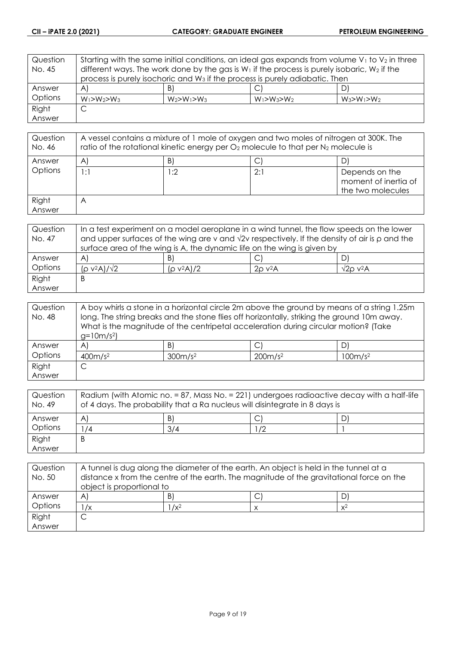| Question | Starting with the same initial conditions, an ideal gas expands from volume $V_1$ to $V_2$ in three |                   |                   |                   |
|----------|-----------------------------------------------------------------------------------------------------|-------------------|-------------------|-------------------|
| No. 45   | different ways. The work done by the gas is $W_1$ if the process is purely isobaric, $W_2$ if the   |                   |                   |                   |
|          | process is purely isochoric and W <sub>3</sub> if the process is purely adiabatic. Then             |                   |                   |                   |
| Answer   | $\mathsf{A}$                                                                                        | B)                |                   | DI                |
| Options  | $W_1 > W_2 > W_3$                                                                                   | $W_2 > W_1 > W_3$ | $W_1 > W_3 > W_2$ | $W_3 > W_1 > W_2$ |
| Right    | C                                                                                                   |                   |                   |                   |
| Answer   |                                                                                                     |                   |                   |                   |

| Question<br>No. 46 | A vessel contains a mixture of 1 mole of oxygen and two moles of nitrogen at 300K. The<br>ratio of the rotational kinetic energy per $O_2$ molecule to that per $N_2$ molecule is |     |     |                                                             |
|--------------------|-----------------------------------------------------------------------------------------------------------------------------------------------------------------------------------|-----|-----|-------------------------------------------------------------|
| Answer             | A                                                                                                                                                                                 | B)  |     |                                                             |
| Options            | 1:1                                                                                                                                                                               | 1:2 | 2:1 | Depends on the<br>moment of inertia of<br>the two molecules |
| Right<br>Answer    | $\forall$                                                                                                                                                                         |     |     |                                                             |

| Question | In a test experiment on a model aeroplane in a wind tunnel, the flow speeds on the lower                   |               |                          |                               |
|----------|------------------------------------------------------------------------------------------------------------|---------------|--------------------------|-------------------------------|
| No. 47   | and upper surfaces of the wing are v and $\sqrt{2}v$ respectively. If the density of air is $\rho$ and the |               |                          |                               |
|          | surface area of the wing is A, the dynamic life on the wing is given by                                    |               |                          |                               |
| Answer   | A                                                                                                          | B             |                          |                               |
| Options  | (ρ ν <sup>2</sup> Α)/√2                                                                                    | $(p v^2 A)/2$ | $2\rho$ v <sup>2</sup> A | $\sqrt{2}$ o v <sup>2</sup> A |
| Right    | Β                                                                                                          |               |                          |                               |
| Answer   |                                                                                                            |               |                          |                               |

| Question | A boy whirls a stone in a horizontal circle 2m above the ground by means of a string 1.25m  |                     |                                                                                     |                     |
|----------|---------------------------------------------------------------------------------------------|---------------------|-------------------------------------------------------------------------------------|---------------------|
| No. 48   | long. The string breaks and the stone flies off horizontally, striking the ground 10m away. |                     |                                                                                     |                     |
|          |                                                                                             |                     | What is the magnitude of the centripetal acceleration during circular motion? (Take |                     |
|          | $g=10m/s^2$                                                                                 |                     |                                                                                     |                     |
| Answer   | $\mathsf{A}$                                                                                | $\vert B \vert$     | $\mathsf{C}^1$                                                                      | D                   |
| Options  | 400m/s <sup>2</sup>                                                                         | 300m/s <sup>2</sup> | 200m/s <sup>2</sup>                                                                 | 100m/s <sup>2</sup> |
| Right    | С                                                                                           |                     |                                                                                     |                     |
| Answer   |                                                                                             |                     |                                                                                     |                     |

| Question<br>No. 49 | Radium (with Atomic no. = 87, Mass No. = 221) undergoes radioactive decay with a half-life<br>of 4 days. The probability that a Ra nucleus will disintegrate in 8 days is |     |    |  |
|--------------------|---------------------------------------------------------------------------------------------------------------------------------------------------------------------------|-----|----|--|
| Answer             | A'                                                                                                                                                                        | B.  |    |  |
| Options            | /4                                                                                                                                                                        | 3/4 | 72 |  |
| Right              | B                                                                                                                                                                         |     |    |  |
| Answer             |                                                                                                                                                                           |     |    |  |

| Question<br>No. 50 | A tunnel is dug along the diameter of the earth. An object is held in the tunnel at a<br>distance x from the centre of the earth. The magnitude of the gravitational force on the<br>object is proportional to |         |  |       |
|--------------------|----------------------------------------------------------------------------------------------------------------------------------------------------------------------------------------------------------------|---------|--|-------|
| Answer             | $\mathsf{A}$                                                                                                                                                                                                   | B       |  |       |
| Options            | $\sqrt{x}$                                                                                                                                                                                                     | $1/x^2$ |  | $x^2$ |
| Right              |                                                                                                                                                                                                                |         |  |       |
| Answer             |                                                                                                                                                                                                                |         |  |       |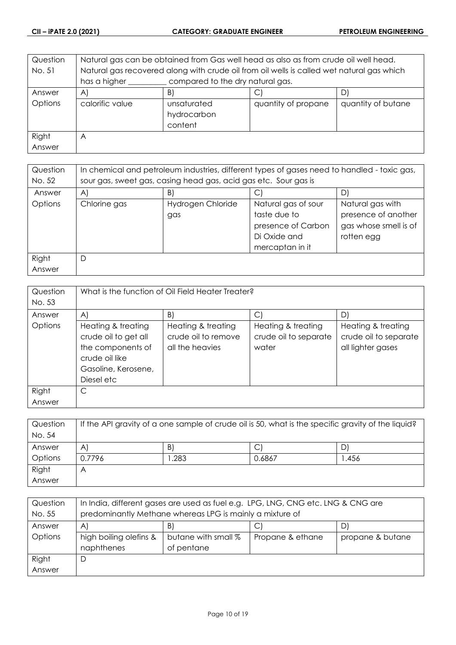| Question | Natural gas can be obtained from Gas well head as also as from crude oil well head.       |                 |                     |                    |
|----------|-------------------------------------------------------------------------------------------|-----------------|---------------------|--------------------|
| No. 51   | Natural gas recovered along with crude oil from oil wells is called wet natural gas which |                 |                     |                    |
|          | has a higher<br>compared to the dry natural gas.                                          |                 |                     |                    |
| Answer   | $\mathsf{A}$                                                                              | $\vert B \vert$ | С                   | DI                 |
| Options  | calorific value                                                                           | unsaturated     | quantity of propane | quantity of butane |
|          |                                                                                           | hydrocarbon     |                     |                    |
|          |                                                                                           | content         |                     |                    |
| Right    | A                                                                                         |                 |                     |                    |
| Answer   |                                                                                           |                 |                     |                    |

| Question<br>No. 52 | In chemical and petroleum industries, different types of gases need to handled - toxic gas,<br>sour gas, sweet gas, casing head gas, acid gas etc. Sour gas is |                          |                                                                                              |                                                                                |  |
|--------------------|----------------------------------------------------------------------------------------------------------------------------------------------------------------|--------------------------|----------------------------------------------------------------------------------------------|--------------------------------------------------------------------------------|--|
| Answer             | A)                                                                                                                                                             | B)<br>D)                 |                                                                                              |                                                                                |  |
| Options            | Chlorine gas                                                                                                                                                   | Hydrogen Chloride<br>gas | Natural gas of sour<br>taste due to<br>presence of Carbon<br>Di Oxide and<br>mercaptan in it | Natural gas with<br>presence of another<br>gas whose smell is of<br>rotten egg |  |
| Right<br>Answer    |                                                                                                                                                                |                          |                                                                                              |                                                                                |  |

| Question<br>No. 53 | What is the function of Oil Field Heater Treater?                                                                            |                                                                                 |                                                           |                                                                        |
|--------------------|------------------------------------------------------------------------------------------------------------------------------|---------------------------------------------------------------------------------|-----------------------------------------------------------|------------------------------------------------------------------------|
| Answer<br>Options  | A)<br>Heating & treating<br>crude oil to get all<br>the components of<br>crude oil like<br>Gasoline, Kerosene,<br>Diesel etc | $\vert B \vert$<br>Heating & treating<br>crude oil to remove<br>all the heavies | C<br>Heating & treating<br>crude oil to separate<br>water | D)<br>Heating & treating<br>crude oil to separate<br>all lighter gases |
| Right<br>Answer    | С                                                                                                                            |                                                                                 |                                                           |                                                                        |

| Question<br>No. 54 | If the API gravity of a one sample of crude oil is 50, what is the specific gravity of the liquid? |      |        |      |
|--------------------|----------------------------------------------------------------------------------------------------|------|--------|------|
| Answer             | A                                                                                                  | B)   |        | D    |
| Options            | 0.7796                                                                                             | .283 | 0.6867 | .456 |
| Right              | Α                                                                                                  |      |        |      |
| Answer             |                                                                                                    |      |        |      |

| Question | In India, different gases are used as fuel e.g. LPG, LNG, CNG etc. LNG & CNG are |                     |                  |                  |
|----------|----------------------------------------------------------------------------------|---------------------|------------------|------------------|
| No. 55   | predominantly Methane whereas LPG is mainly a mixture of                         |                     |                  |                  |
| Answer   | B)<br>A)<br>C                                                                    |                     |                  |                  |
| Options  | high boiling olefins &                                                           | butane with small % | Propane & ethane | propane & butane |
|          | naphthenes                                                                       | of pentane          |                  |                  |
| Right    | D                                                                                |                     |                  |                  |
| Answer   |                                                                                  |                     |                  |                  |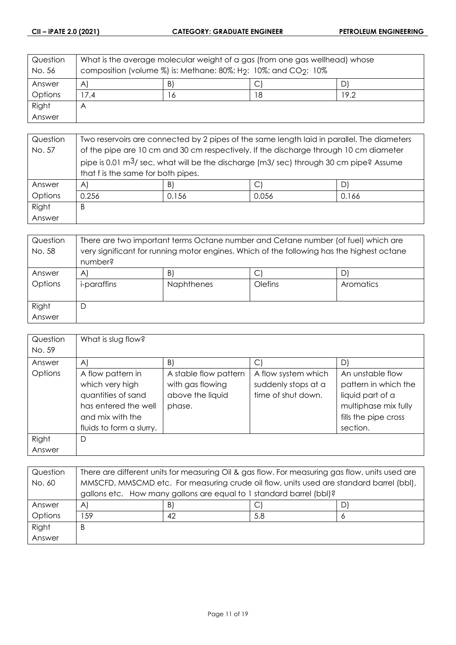| Question<br>No. 56 | What is the average molecular weight of a gas (from one gas wellhead) whose<br>composition (volume %) is: Methane: 80%; H <sub>2</sub> : 10%; and CO <sub>2</sub> : 10% |     |    |      |
|--------------------|-------------------------------------------------------------------------------------------------------------------------------------------------------------------------|-----|----|------|
| Answer             | $\vert B \rangle$<br>$\mathsf{A}$<br>D                                                                                                                                  |     |    |      |
| Options            | 7.4                                                                                                                                                                     | . 6 | 18 | 19.2 |
| Right              | A                                                                                                                                                                       |     |    |      |
| Answer             |                                                                                                                                                                         |     |    |      |

| Question | Two reservoirs are connected by 2 pipes of the same length laid in parallel. The diameters         |                                                                                       |       |       |  |
|----------|----------------------------------------------------------------------------------------------------|---------------------------------------------------------------------------------------|-------|-------|--|
| No. 57   |                                                                                                    | of the pipe are 10 cm and 30 cm respectively. If the discharge through 10 cm diameter |       |       |  |
|          | pipe is 0.01 $\mathrm{m}^3$ / sec, what will be the discharge (m3/ sec) through 30 cm pipe? Assume |                                                                                       |       |       |  |
|          | that f is the same for both pipes.                                                                 |                                                                                       |       |       |  |
| Answer   | $\mathsf{A}$                                                                                       | B)                                                                                    | С     |       |  |
| Options  | 0.256                                                                                              | 0.156                                                                                 | 0.056 | 0.166 |  |
| Right    | B                                                                                                  |                                                                                       |       |       |  |
| Answer   |                                                                                                    |                                                                                       |       |       |  |

| Question<br>No. 58 | There are two important terms Octane number and Cetane number (of fuel) which are<br>very significant for running motor engines. Which of the following has the highest octane |                   |         |           |
|--------------------|--------------------------------------------------------------------------------------------------------------------------------------------------------------------------------|-------------------|---------|-----------|
|                    | number?                                                                                                                                                                        |                   |         |           |
| Answer             | A'                                                                                                                                                                             | $\vert B \vert$   | C       |           |
| Options            | <i>i-paraffins</i>                                                                                                                                                             | <b>Naphthenes</b> | Olefins | Aromatics |
|                    |                                                                                                                                                                                |                   |         |           |
| Right              | D                                                                                                                                                                              |                   |         |           |
| Answer             |                                                                                                                                                                                |                   |         |           |

| Question | What is slug flow?       |                       |                     |                      |
|----------|--------------------------|-----------------------|---------------------|----------------------|
| No. 59   |                          |                       |                     |                      |
| Answer   | $\mathsf{A}$             | $\vert B \vert$       | $\vert$ C           | D)                   |
| Options  | A flow pattern in        | A stable flow pattern | A flow system which | An unstable flow     |
|          | which very high          | with gas flowing      | suddenly stops at a | pattern in which the |
|          | quantities of sand       | above the liquid      | time of shut down.  | liquid part of a     |
|          | has entered the well     | phase.                |                     | multiphase mix fully |
|          | and mix with the         |                       |                     | fills the pipe cross |
|          | fluids to form a slurry. |                       |                     | section.             |
| Right    | D                        |                       |                     |                      |
| Answer   |                          |                       |                     |                      |

| Question | There are different units for measuring Oil & gas flow. For measuring gas flow, units used are |    |     |   |
|----------|------------------------------------------------------------------------------------------------|----|-----|---|
| No. 60   | MMSCFD, MMSCMD etc. For measuring crude oil flow, units used are standard barrel (bbl),        |    |     |   |
|          | gallons etc. How many gallons are equal to 1 standard barrel (bbl)?                            |    |     |   |
| Answer   | $\mathsf{A}$                                                                                   | B) |     | D |
| Options  | 159                                                                                            | 42 | 5.8 | O |
| Right    | B                                                                                              |    |     |   |
| Answer   |                                                                                                |    |     |   |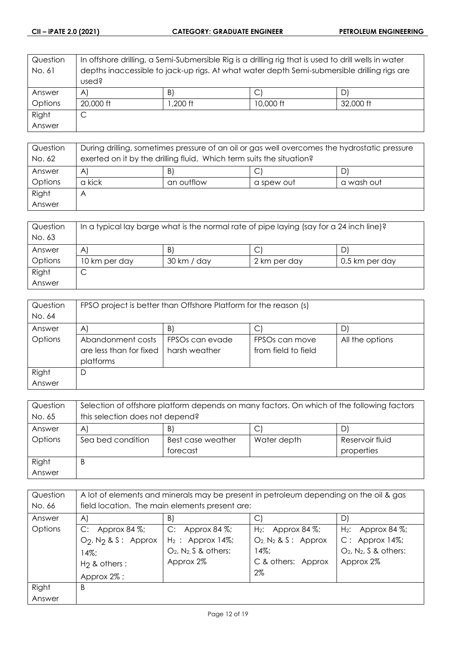| Question | In offshore drilling, a Semi-Submersible Rig is a drilling rig that is used to drill wells in water |                 |           |           |
|----------|-----------------------------------------------------------------------------------------------------|-----------------|-----------|-----------|
| No. 61   | depths inaccessible to jack-up rigs. At what water depth Semi-submersible drilling rigs are         |                 |           |           |
|          | used?                                                                                               |                 |           |           |
| Answer   | $\mathsf{A}$                                                                                        | $\vert B \vert$ |           | D)        |
| Options  | 20,000 ft                                                                                           | :1 200, I       | 10,000 ft | 32,000 ft |
| Right    | С                                                                                                   |                 |           |           |
| Answer   |                                                                                                     |                 |           |           |

| Question | During drilling, sometimes pressure of an oil or gas well overcomes the hydrostatic pressure |            |            |            |
|----------|----------------------------------------------------------------------------------------------|------------|------------|------------|
| No. 62   | exerted on it by the drilling fluid. Which term suits the situation?                         |            |            |            |
| Answer   | B)<br>C<br>A                                                                                 |            |            |            |
| Options  | a kick                                                                                       | an outflow | a spew out | a wash out |
| Right    | Α                                                                                            |            |            |            |
| Answer   |                                                                                              |            |            |            |

| Question | In a typical lay barge what is the normal rate of pipe laying (say for a 24 inch line)? |             |              |                |
|----------|-----------------------------------------------------------------------------------------|-------------|--------------|----------------|
| No. 63   |                                                                                         |             |              |                |
| Answer   | B.<br>A                                                                                 |             |              |                |
| Options  | 10 km per day                                                                           | 30 km / day | 2 km per day | 0.5 km per day |
| Right    | ◡                                                                                       |             |              |                |
| Answer   |                                                                                         |             |              |                |

| Question | FPSO project is better than Offshore Platform for the reason (s) |                             |                            |                 |
|----------|------------------------------------------------------------------|-----------------------------|----------------------------|-----------------|
| No. 64   |                                                                  |                             |                            |                 |
| Answer   | A.                                                               | B)                          | C                          | DI              |
| Options  | Abandonment costs                                                | FPSO <sub>s</sub> can evade | FPSO <sub>s</sub> can move | All the options |
|          | are less than for fixed                                          | harsh weather               | from field to field        |                 |
|          | platforms                                                        |                             |                            |                 |
| Right    | D                                                                |                             |                            |                 |
| Answer   |                                                                  |                             |                            |                 |

| Question | Selection of offshore platform depends on many factors. On which of the following factors |                                                     |  |  |  |
|----------|-------------------------------------------------------------------------------------------|-----------------------------------------------------|--|--|--|
| No. 65   | this selection does not depend?                                                           |                                                     |  |  |  |
| Answer   | B)<br>C<br>D)<br>A                                                                        |                                                     |  |  |  |
| Options  | Sea bed condition                                                                         | Reservoir fluid<br>Water depth<br>Best case weather |  |  |  |
|          | properties<br>forecast                                                                    |                                                     |  |  |  |
| Right    | Β                                                                                         |                                                     |  |  |  |
| Answer   |                                                                                           |                                                     |  |  |  |

| Question | A lot of elements and minerals may be present in petroleum depending on the oil & gas |                                      |                            |                                      |
|----------|---------------------------------------------------------------------------------------|--------------------------------------|----------------------------|--------------------------------------|
| No. 66   | field location. The main elements present are:                                        |                                      |                            |                                      |
| Answer   | A)                                                                                    | B)                                   | C                          | D)                                   |
| Options  | C:<br>Approx 84 %;                                                                    | C: Approx 84 $\%$ ;                  | $H_2$ : Approx 84 %;       | $H_2$ : Approx 84 %;                 |
|          | $O_2$ , $N_2$ & S: Approx                                                             | $H_2$ : Approx 14%;                  | $O_2$ , $N_2$ & S : Approx | $C:$ Approx 14%;                     |
|          | $14\%$ :                                                                              | $O_2$ , N <sub>2</sub> , S & others: | $14\%;$                    | $O_2$ , N <sub>2</sub> , S & others: |
|          | $H2$ & others :                                                                       | Approx 2%                            | C & others: Approx         | Approx 2%                            |
|          | Approx 2%;                                                                            |                                      | $2\%$                      |                                      |
| Right    | B                                                                                     |                                      |                            |                                      |
| Answer   |                                                                                       |                                      |                            |                                      |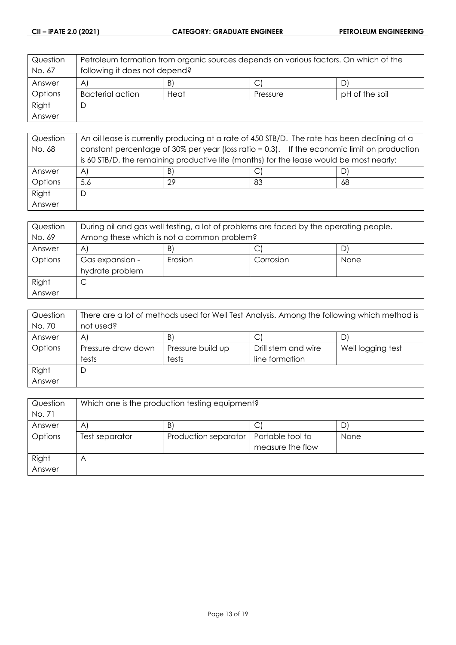| Question<br>No. 67 | Petroleum formation from organic sources depends on various factors. On which of the<br>following it does not depend? |      |          |                |
|--------------------|-----------------------------------------------------------------------------------------------------------------------|------|----------|----------------|
| Answer             | B)<br>AI<br>D                                                                                                         |      |          |                |
| Options            | <b>Bacterial action</b>                                                                                               | Heat | Pressure | pH of the soil |
| Right              |                                                                                                                       |      |          |                |
| Answer             |                                                                                                                       |      |          |                |

| Question | An oil lease is currently producing at a rate of 450 STB/D. The rate has been declining at a |    |    |    |
|----------|----------------------------------------------------------------------------------------------|----|----|----|
| No. 68   | constant percentage of 30% per year (loss ratio = 0.3). If the economic limit on production  |    |    |    |
|          | is 60 STB/D, the remaining productive life (months) for the lease would be most nearly:      |    |    |    |
| Answer   | $\mathsf{A}$                                                                                 | B) |    |    |
| Options  | 5.6                                                                                          | 29 | 83 | 68 |
| Right    | D                                                                                            |    |    |    |
| Answer   |                                                                                              |    |    |    |

| Question | During oil and gas well testing, a lot of problems are faced by the operating people. |  |  |  |
|----------|---------------------------------------------------------------------------------------|--|--|--|
| No. 69   | Among these which is not a common problem?                                            |  |  |  |
| Answer   | B)<br>A                                                                               |  |  |  |
| Options  | Erosion<br>Corrosion<br>Gas expansion -<br>None                                       |  |  |  |
|          | hydrate problem                                                                       |  |  |  |
| Right    | ◡                                                                                     |  |  |  |
| Answer   |                                                                                       |  |  |  |

| Question | There are a lot of methods used for Well Test Analysis. Among the following which method is |                   |                     |                   |
|----------|---------------------------------------------------------------------------------------------|-------------------|---------------------|-------------------|
| No. 70   | not used?                                                                                   |                   |                     |                   |
| Answer   | B)<br>A<br>DI                                                                               |                   |                     |                   |
| Options  | Pressure draw down                                                                          | Pressure build up | Drill stem and wire | Well logging test |
|          | tests                                                                                       | tests             | line formation      |                   |
| Right    | D                                                                                           |                   |                     |                   |
| Answer   |                                                                                             |                   |                     |                   |

| Question | Which one is the production testing equipment?                            |  |                  |  |
|----------|---------------------------------------------------------------------------|--|------------------|--|
| No. 71   |                                                                           |  |                  |  |
| Answer   | B)<br>A<br>D<br>J                                                         |  |                  |  |
| Options  | Portable tool to<br>Production separator<br>Test separator<br><b>None</b> |  |                  |  |
|          |                                                                           |  | measure the flow |  |
| Right    | $\forall$                                                                 |  |                  |  |
| Answer   |                                                                           |  |                  |  |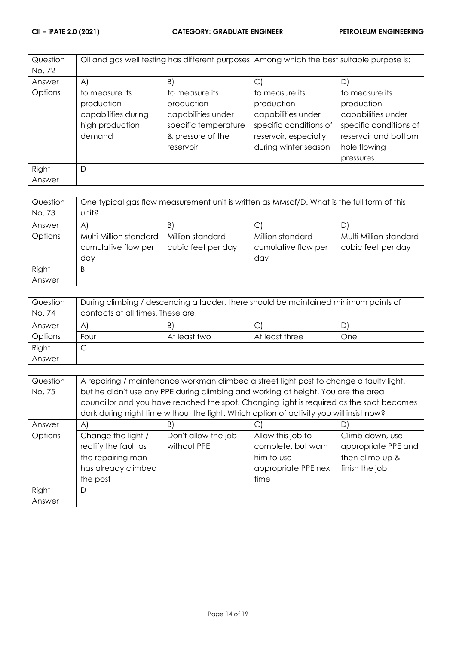| Question | Oil and gas well testing has different purposes. Among which the best suitable purpose is: |                      |                        |                        |
|----------|--------------------------------------------------------------------------------------------|----------------------|------------------------|------------------------|
| No. 72   |                                                                                            |                      |                        |                        |
| Answer   | A)                                                                                         | B)                   | $\vert$ $\vert$        | D)                     |
| Options  | to measure its                                                                             | to measure its       | to measure its         | to measure its         |
|          | production                                                                                 | production           | production             | production             |
|          | capabilities during                                                                        | capabilities under   | capabilities under     | capabilities under     |
|          | high production                                                                            | specific temperature | specific conditions of | specific conditions of |
|          | demand                                                                                     | & pressure of the    | reservoir, especially  | reservoir and bottom   |
|          |                                                                                            | reservoir            | during winter season   | hole flowing           |
|          |                                                                                            |                      |                        | pressures              |
| Right    | D                                                                                          |                      |                        |                        |
| Answer   |                                                                                            |                      |                        |                        |

| Question | One typical gas flow measurement unit is written as MMscf/D. What is the full form of this |                    |                     |                        |
|----------|--------------------------------------------------------------------------------------------|--------------------|---------------------|------------------------|
| No. 73   | unit?                                                                                      |                    |                     |                        |
| Answer   | $\forall$                                                                                  | B)                 | С                   |                        |
| Options  | Multi Million standard                                                                     | Million standard   | Million standard    | Multi Million standard |
|          | cumulative flow per                                                                        | cubic feet per day | cumulative flow per | cubic feet per day     |
|          | day                                                                                        |                    | day                 |                        |
| Right    | B                                                                                          |                    |                     |                        |
| Answer   |                                                                                            |                    |                     |                        |

| Question<br>No. 74 | During climbing / descending a ladder, there should be maintained minimum points of<br>contacts at all times. These are: |              |                |     |
|--------------------|--------------------------------------------------------------------------------------------------------------------------|--------------|----------------|-----|
| Answer             | Β<br>$\bigwedge$<br>$\mathsf{D}^*$                                                                                       |              |                |     |
| Options            | Four                                                                                                                     | At least two | At least three | One |
| Right              | ◡                                                                                                                        |              |                |     |
| Answer             |                                                                                                                          |              |                |     |

| Question | A repairing / maintenance workman climbed a street light post to change a faulty light, |                                                                                          |                      |                     |
|----------|-----------------------------------------------------------------------------------------|------------------------------------------------------------------------------------------|----------------------|---------------------|
| No. 75   | but he didn't use any PPE during climbing and working at height. You are the area       |                                                                                          |                      |                     |
|          |                                                                                         | councillor and you have reached the spot. Changing light is required as the spot becomes |                      |                     |
|          |                                                                                         | dark during night time without the light. Which option of activity you will insist now?  |                      |                     |
| Answer   | A)                                                                                      | B)                                                                                       | C.                   | D)                  |
| Options  | Change the light /                                                                      | Don't allow the job                                                                      | Allow this job to    | Climb down, use     |
|          | rectify the fault as                                                                    | without PPE                                                                              | complete, but warn   | appropriate PPE and |
|          | the repairing man                                                                       |                                                                                          | him to use           | then climb up &     |
|          | has already climbed                                                                     |                                                                                          | appropriate PPE next | finish the job      |
|          | the post                                                                                |                                                                                          | time                 |                     |
| Right    | D                                                                                       |                                                                                          |                      |                     |
| Answer   |                                                                                         |                                                                                          |                      |                     |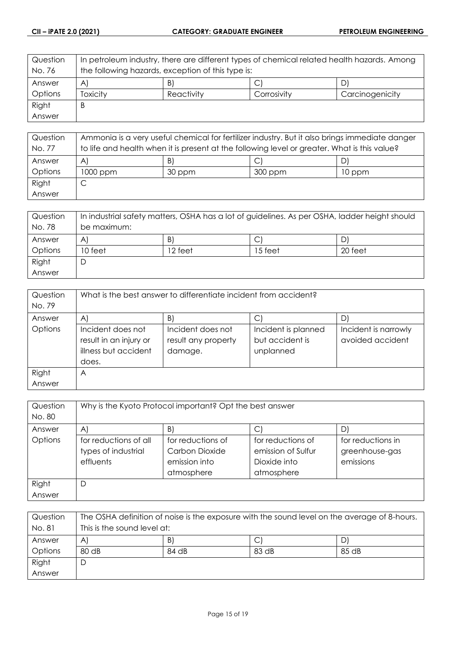| Question       | In petroleum industry, there are different types of chemical related health hazards. Among |            |             |                 |
|----------------|--------------------------------------------------------------------------------------------|------------|-------------|-----------------|
| No. 76         | the following hazards, exception of this type is:                                          |            |             |                 |
| Answer         | B)<br>$\forall$<br>U                                                                       |            |             |                 |
| <b>Options</b> | Toxicity                                                                                   | Reactivity | Corrosivity | Carcinogenicity |
| Right          | B                                                                                          |            |             |                 |
| Answer         |                                                                                            |            |             |                 |

| Question | Ammonia is a very useful chemical for fertilizer industry. But it also brings immediate danger |        |         |        |
|----------|------------------------------------------------------------------------------------------------|--------|---------|--------|
| No. 77   | to life and health when it is present at the following level or greater. What is this value?   |        |         |        |
| Answer   | B)<br>$\forall$                                                                                |        |         |        |
| Options  | $1000$ ppm                                                                                     | 30 ppm | 300 ppm | 10 ppm |
| Right    | ╰                                                                                              |        |         |        |
| Answer   |                                                                                                |        |         |        |

| Question | In industrial safety matters, OSHA has a lot of guidelines. As per OSHA, ladder height should |         |         |         |
|----------|-----------------------------------------------------------------------------------------------|---------|---------|---------|
| No. 78   | be maximum:                                                                                   |         |         |         |
| Answer   | B)<br>$\forall$<br>◡                                                                          |         |         |         |
| Options  | 10 feet                                                                                       | 12 feet | 15 feet | 20 feet |
| Right    |                                                                                               |         |         |         |
| Answer   |                                                                                               |         |         |         |

| Question<br>No. 79 | What is the best answer to differentiate incident from accident?             |                                                     |                                                     |                                          |
|--------------------|------------------------------------------------------------------------------|-----------------------------------------------------|-----------------------------------------------------|------------------------------------------|
| Answer             | $\mathsf{A}$                                                                 | B)                                                  |                                                     |                                          |
| Options            | Incident does not<br>result in an injury or<br>illness but accident<br>does. | Incident does not<br>result any property<br>damage. | Incident is planned<br>but accident is<br>unplanned | Incident is narrowly<br>avoided accident |
| Right              | A                                                                            |                                                     |                                                     |                                          |
| Answer             |                                                                              |                                                     |                                                     |                                          |

| Question        | Why is the Kyoto Protocol important? Opt the best answer  |                                                                    |                                                                       |                                                  |
|-----------------|-----------------------------------------------------------|--------------------------------------------------------------------|-----------------------------------------------------------------------|--------------------------------------------------|
| No. 80          |                                                           |                                                                    |                                                                       |                                                  |
| Answer          | A                                                         | B.                                                                 | С                                                                     | D.                                               |
| Options         | for reductions of all<br>types of industrial<br>effluents | for reductions of<br>Carbon Dioxide<br>emission into<br>atmosphere | for reductions of<br>emission of Sulfur<br>Dioxide into<br>atmosphere | for reductions in<br>greenhouse-gas<br>emissions |
| Right<br>Answer | D                                                         |                                                                    |                                                                       |                                                  |

| Question | The OSHA definition of noise is the exposure with the sound level on the average of 8-hours. |       |       |       |
|----------|----------------------------------------------------------------------------------------------|-------|-------|-------|
| No. 81   | This is the sound level at:                                                                  |       |       |       |
| Answer   | $\mathsf{A}$                                                                                 | B     | С     |       |
| Options  | 80 <sub>dB</sub>                                                                             | 84 dB | 83 dB | 85 dB |
| Right    | D                                                                                            |       |       |       |
| Answer   |                                                                                              |       |       |       |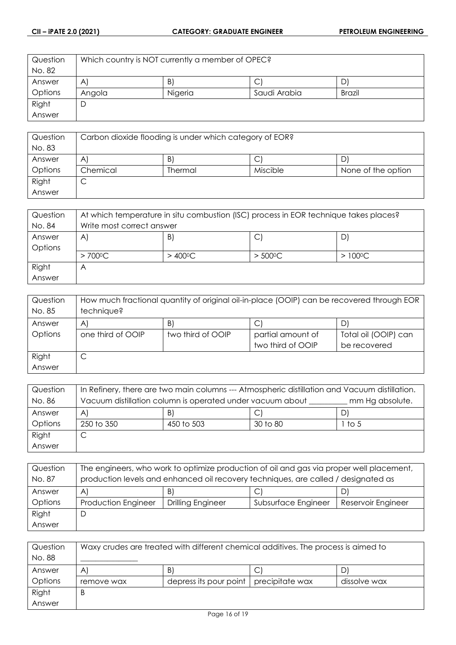| Question | Which country is NOT currently a member of OPEC? |         |              |               |
|----------|--------------------------------------------------|---------|--------------|---------------|
| No. 82   |                                                  |         |              |               |
| Answer   | $\mathsf{A}$                                     | B.      | ◡            | D'            |
| Options  | Angola                                           | Nigeria | Saudi Arabia | <b>Brazil</b> |
| Right    |                                                  |         |              |               |
| Answer   |                                                  |         |              |               |

| Question<br>No. 83 | Carbon dioxide flooding is under which category of EOR? |         |          |                    |
|--------------------|---------------------------------------------------------|---------|----------|--------------------|
| Answer             | B.<br>C<br>A                                            |         |          |                    |
| Options            | Chemical                                                | Thermal | Miscible | None of the option |
| Right              | ◡                                                       |         |          |                    |
| Answer             |                                                         |         |          |                    |

| Question | At which temperature in situ combustion (ISC) process in EOR technique takes places? |         |                   |                  |
|----------|--------------------------------------------------------------------------------------|---------|-------------------|------------------|
| No. 84   | Write most correct answer                                                            |         |                   |                  |
| Answer   | B)<br>C<br>A                                                                         |         |                   |                  |
| Options  |                                                                                      |         |                   |                  |
|          | $> 700^{\circ}$ C                                                                    | > 400ºC | $> 500^{\circ}$ C | $>100^{\circ}$ C |
| Right    | ۳                                                                                    |         |                   |                  |
| Answer   |                                                                                      |         |                   |                  |

| Question | How much fractional quantity of original oil-in-place (OOIP) can be recovered through EOR |                   |                   |                      |
|----------|-------------------------------------------------------------------------------------------|-------------------|-------------------|----------------------|
| No. 85   | technique?                                                                                |                   |                   |                      |
| Answer   | B)<br>$\vert$ C<br>D)<br>A                                                                |                   |                   |                      |
| Options  | one third of OOIP                                                                         | two third of OOIP | partial amount of | Total oil (OOIP) can |
|          |                                                                                           |                   | two third of OOIP | be recovered         |
| Right    | ◡                                                                                         |                   |                   |                      |
| Answer   |                                                                                           |                   |                   |                      |

| Question | In Refinery, there are two main columns --- Atmospheric distillation and Vacuum distillation. |            |          |        |
|----------|-----------------------------------------------------------------------------------------------|------------|----------|--------|
| No. 86   | Vacuum distillation column is operated under vacuum about<br>mm Hg absolute.                  |            |          |        |
| Answer   | B)<br>D)<br>A                                                                                 |            |          |        |
| Options  | 250 to 350                                                                                    | 450 to 503 | 30 to 80 | 1 to 5 |
| Right    |                                                                                               |            |          |        |
| Answer   |                                                                                               |            |          |        |

| Question<br>No. 87 | The engineers, who work to optimize production of oil and gas via proper well placement,<br>production levels and enhanced oil recovery techniques, are called / designated as |                   |                     |                    |
|--------------------|--------------------------------------------------------------------------------------------------------------------------------------------------------------------------------|-------------------|---------------------|--------------------|
| Answer             | B)<br>C<br>A.<br>D.                                                                                                                                                            |                   |                     |                    |
| Options            | <b>Production Engineer</b>                                                                                                                                                     | Drilling Engineer | Subsurface Engineer | Reservoir Engineer |
| Right              | D                                                                                                                                                                              |                   |                     |                    |
| Answer             |                                                                                                                                                                                |                   |                     |                    |

| Question | Waxy crudes are treated with different chemical additives. The process is aimed to |                        |                 |              |
|----------|------------------------------------------------------------------------------------|------------------------|-----------------|--------------|
| No. 88   |                                                                                    |                        |                 |              |
| Answer   | A                                                                                  | B.                     | ◡               |              |
| Options  | remove wax                                                                         | depress its pour point | precipitate wax | dissolve wax |
| Right    | B                                                                                  |                        |                 |              |
| Answer   |                                                                                    |                        |                 |              |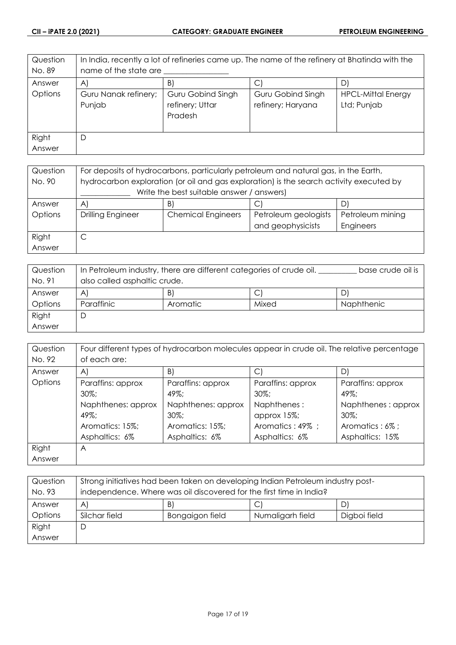| Question<br>No. 89 | In India, recently a lot of refineries came up. The name of the refinery at Bhatinda with the<br>name of the state are |                                                        |                                        |                                          |
|--------------------|------------------------------------------------------------------------------------------------------------------------|--------------------------------------------------------|----------------------------------------|------------------------------------------|
| Answer             | $\mathsf{A}$                                                                                                           | B)                                                     | $\mathbb{C}^1$                         | D                                        |
| Options            | Guru Nanak refinery;<br>Punjab                                                                                         | <b>Guru Gobind Singh</b><br>refinery; Uttar<br>Pradesh | Guru Gobind Singh<br>refinery; Haryana | <b>HPCL-Mittal Energy</b><br>Ltd; Punjab |
| Right              | D                                                                                                                      |                                                        |                                        |                                          |
| Answer             |                                                                                                                        |                                                        |                                        |                                          |

| Question | For deposits of hydrocarbons, particularly petroleum and natural gas, in the Earth,     |                           |                      |                  |
|----------|-----------------------------------------------------------------------------------------|---------------------------|----------------------|------------------|
| No. 90   | hydrocarbon exploration (or oil and gas exploration) is the search activity executed by |                           |                      |                  |
|          | Write the best suitable answer / answers)                                               |                           |                      |                  |
| Answer   | $\vert A \vert$                                                                         | B)                        | Ć                    |                  |
| Options  | <b>Drilling Engineer</b>                                                                | <b>Chemical Engineers</b> | Petroleum geologists | Petroleum mining |
|          |                                                                                         |                           | and geophysicists    | Engineers        |
| Right    |                                                                                         |                           |                      |                  |
| Answer   |                                                                                         |                           |                      |                  |

| Question | In Petroleum industry, there are different categories of crude oil. |          |       | base crude oil is |
|----------|---------------------------------------------------------------------|----------|-------|-------------------|
| No. 91   | also called asphaltic crude.                                        |          |       |                   |
| Answer   | A                                                                   | B.       | С     |                   |
| Options  | Paraffinic                                                          | Aromatic | Mixed | <b>Naphthenic</b> |
| Right    | D                                                                   |          |       |                   |
| Answer   |                                                                     |          |       |                   |

| Question | Four different types of hydrocarbon molecules appear in crude oil. The relative percentage |                    |                   |                    |
|----------|--------------------------------------------------------------------------------------------|--------------------|-------------------|--------------------|
| No. 92   | of each are:                                                                               |                    |                   |                    |
| Answer   | $\mathsf{A}$                                                                               | B)                 | С                 | D)                 |
| Options  | Paraffins: approx                                                                          | Paraffins: approx  | Paraffins: approx | Paraffins: approx  |
|          | $30\%$ :                                                                                   | $49\%$             | $30\%$ ;          | $49\%$             |
|          | Naphthenes: approx                                                                         | Naphthenes: approx | Naphthenes:       | Naphthenes: approx |
|          | $49\%$ :                                                                                   | $30\%$             | approx 15%;       | $30\%$ ;           |
|          | Aromatics: 15%;                                                                            | Aromatics: 15%;    | Aromatics: 49%;   | Aromatics: 6%;     |
|          | Asphaltics: 6%                                                                             | Asphaltics: 6%     | Asphaltics: 6%    | Asphaltics: 15%    |
| Right    | A                                                                                          |                    |                   |                    |
| Answer   |                                                                                            |                    |                   |                    |

| Question<br>No. 93 | Strong initiatives had been taken on developing Indian Petroleum industry post-<br>independence. Where was oil discovered for the first time in India? |                 |                  |              |
|--------------------|--------------------------------------------------------------------------------------------------------------------------------------------------------|-----------------|------------------|--------------|
| Answer             | C<br>B'<br>$\mathsf{A}$                                                                                                                                |                 |                  |              |
| Options            | Silchar field                                                                                                                                          | Bongaigon field | Numaligarh field | Digboi field |
| Right              | D                                                                                                                                                      |                 |                  |              |
| Answer             |                                                                                                                                                        |                 |                  |              |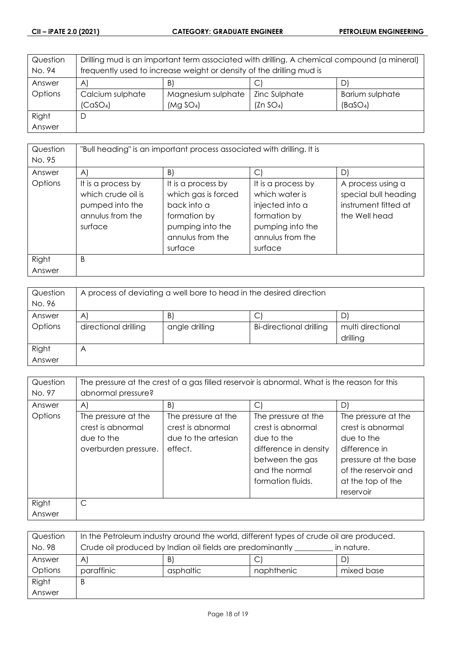| Question | Drilling mud is an important term associated with drilling. A chemical compound (a mineral) |                       |                       |                      |
|----------|---------------------------------------------------------------------------------------------|-----------------------|-----------------------|----------------------|
| No. 94   | frequently used to increase weight or density of the drilling mud is                        |                       |                       |                      |
| Answer   | B)<br>A)<br>C)<br>D                                                                         |                       |                       |                      |
| Options  | Calcium sulphate                                                                            | Magnesium sulphate    | Zinc Sulphate         | Barium sulphate      |
|          | (CaSO <sub>4</sub> )                                                                        | (Mg SO <sub>4</sub> ) | (Zn SO <sub>4</sub> ) | (BaSO <sub>4</sub> ) |
| Right    | D                                                                                           |                       |                       |                      |
| Answer   |                                                                                             |                       |                       |                      |

| Question | "Bull heading" is an important process associated with drilling. It is |                     |                    |                      |
|----------|------------------------------------------------------------------------|---------------------|--------------------|----------------------|
| No. 95   |                                                                        |                     |                    |                      |
| Answer   | $\mathsf{A}$                                                           | B)                  | C                  | D)                   |
| Options  | It is a process by                                                     | It is a process by  | It is a process by | A process using a    |
|          | which crude oil is                                                     | which gas is forced | which water is     | special bull heading |
|          | pumped into the                                                        | back into a         | injected into a    | instrument fitted at |
|          | annulus from the                                                       | formation by        | formation by       | the Well head        |
|          | surface                                                                | pumping into the    | pumping into the   |                      |
|          |                                                                        | annulus from the    | annulus from the   |                      |
|          |                                                                        | surface             | surface            |                      |
| Right    | B                                                                      |                     |                    |                      |
| Answer   |                                                                        |                     |                    |                      |

| Question<br>No. 96 | A process of deviating a well bore to head in the desired direction |                |                                |                               |
|--------------------|---------------------------------------------------------------------|----------------|--------------------------------|-------------------------------|
| Answer             | $\mathsf{A}$                                                        | B              | С                              |                               |
| Options            | directional drilling                                                | angle drilling | <b>Bi-directional drilling</b> | multi directional<br>drilling |
| Right<br>Answer    | Α                                                                   |                |                                |                               |

| Question        | The pressure at the crest of a gas filled reservoir is abnormal. What is the reason for this |                                                                            |                                                                                                                                           |                                                                                                                                                           |  |
|-----------------|----------------------------------------------------------------------------------------------|----------------------------------------------------------------------------|-------------------------------------------------------------------------------------------------------------------------------------------|-----------------------------------------------------------------------------------------------------------------------------------------------------------|--|
| No. 97          | abnormal pressure?                                                                           |                                                                            |                                                                                                                                           |                                                                                                                                                           |  |
| Answer          | A)                                                                                           | B)                                                                         | $\bigcirc$                                                                                                                                | D)                                                                                                                                                        |  |
| Options         | The pressure at the<br>crest is abnormal<br>due to the<br>overburden pressure.               | The pressure at the<br>crest is abnormal<br>due to the artesian<br>effect. | The pressure at the<br>crest is abnormal<br>due to the<br>difference in density<br>between the gas<br>and the normal<br>formation fluids. | The pressure at the<br>crest is abnormal<br>due to the<br>difference in<br>pressure at the base<br>of the reservoir and<br>at the top of the<br>reservoir |  |
| Right<br>Answer | $\mathsf{C}$                                                                                 |                                                                            |                                                                                                                                           |                                                                                                                                                           |  |

| Question | In the Petroleum industry around the world, different types of crude oil are produced. |           |            |            |
|----------|----------------------------------------------------------------------------------------|-----------|------------|------------|
| No. 98   | Crude oil produced by Indian oil fields are predominantly<br>in nature.                |           |            |            |
| Answer   | A)                                                                                     | B.        |            | D'         |
| Options  | paraffinic                                                                             | asphaltic | naphthenic | mixed base |
| Right    | B                                                                                      |           |            |            |
| Answer   |                                                                                        |           |            |            |